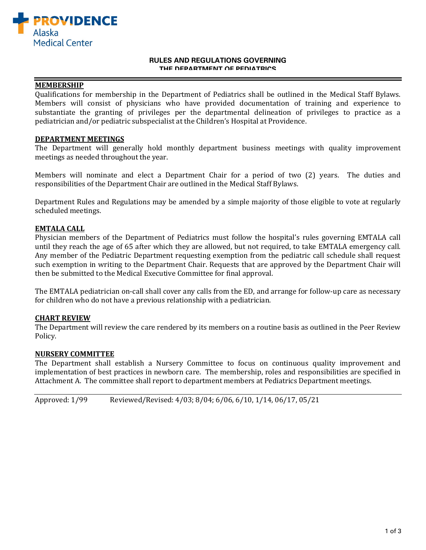

#### **RULES AND REGULATIONS GOVERNING THE DEPARTMENT OF PEDIATRICS**

### **MEMBERSHIP**

Qualifications for membership in the Department of Pediatrics shall be outlined in the Medical Staff Bylaws. Members will consist of physicians who have provided documentation of training and experience to substantiate the granting of privileges per the departmental delineation of privileges to practice as a pediatrician and/or pediatric subspecialist at the Children's Hospital at Providence.

### **DEPARTMENT MEETINGS**

The Department will generally hold monthly department business meetings with quality improvement meetings as needed throughout the year.

Members will nominate and elect a Department Chair for a period of two (2) years. The duties and responsibilities of the Department Chair are outlined in the Medical Staff Bylaws.

Department Rules and Regulations may be amended by a simple majority of those eligible to vote at regularly scheduled meetings.

## **EMTALA CALL**

Physician members of the Department of Pediatrics must follow the hospital's rules governing EMTALA call until they reach the age of 65 after which they are allowed, but not required, to take EMTALA emergency call. Any member of the Pediatric Department requesting exemption from the pediatric call schedule shall request such exemption in writing to the Department Chair. Requests that are approved by the Department Chair will then be submitted to the Medical Executive Committee for final approval.

The EMTALA pediatrician on-call shall cover any calls from the ED, and arrange for follow-up care as necessary for children who do not have a previous relationship with a pediatrician.

### **CHART REVIEW**

The Department will review the care rendered by its members on a routine basis as outlined in the Peer Review Policy.

### **NURSERY COMMITTEE**

The Department shall establish a Nursery Committee to focus on continuous quality improvement and implementation of best practices in newborn care. The membership, roles and responsibilities are specified in Attachment A. The committee shall report to department members at Pediatrics Department meetings.

Approved: 1/99 Reviewed/Revised: 4/03; 8/04; 6/06, 6/10, 1/14, 06/17, 05/21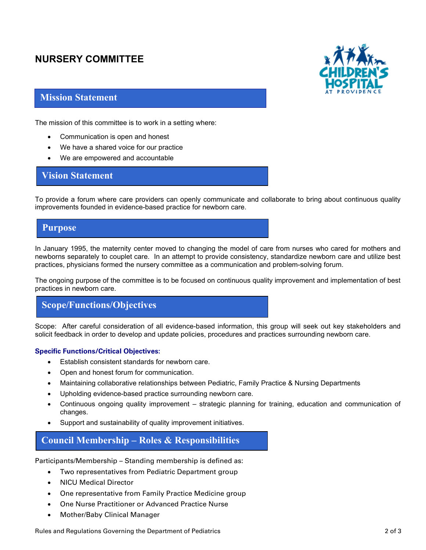# **NURSERY COMMITTEE**



## **Mission Statement**

The mission of this committee is to work in a setting where:

- Communication is open and honest
- We have a shared voice for our practice
- We are empowered and accountable

## **Vision Statement**

To provide a forum where care providers can openly communicate and collaborate to bring about continuous quality improvements founded in evidence-based practice for newborn care.

## **Purpose**

In January 1995, the maternity center moved to changing the model of care from nurses who cared for mothers and newborns separately to couplet care. In an attempt to provide consistency, standardize newborn care and utilize best practices, physicians formed the nursery committee as a communication and problem-solving forum.

The ongoing purpose of the committee is to be focused on continuous quality improvement and implementation of best practices in newborn care.

# **Scope/Functions/Objectives**

Scope: After careful consideration of all evidence-based information, this group will seek out key stakeholders and solicit feedback in order to develop and update policies, procedures and practices surrounding newborn care.

## **Specific Functions/Critical Objectives:**

- Establish consistent standards for newborn care.
- Open and honest forum for communication.
- Maintaining collaborative relationships between Pediatric, Family Practice & Nursing Departments
- Upholding evidence-based practice surrounding newborn care.
- Continuous ongoing quality improvement strategic planning for training, education and communication of changes.
- Support and sustainability of quality improvement initiatives.

# **Council Membership – Roles & Responsibilities**

Participants/Membership – Standing membership is defined as:

- Two representatives from Pediatric Department group
- NICU Medical Director
- One representative from Family Practice Medicine group
- One Nurse Practitioner or Advanced Practice Nurse
- Mother/Baby Clinical Manager

Rules and Regulations Governing the Department of Pediatrics **2** of 3